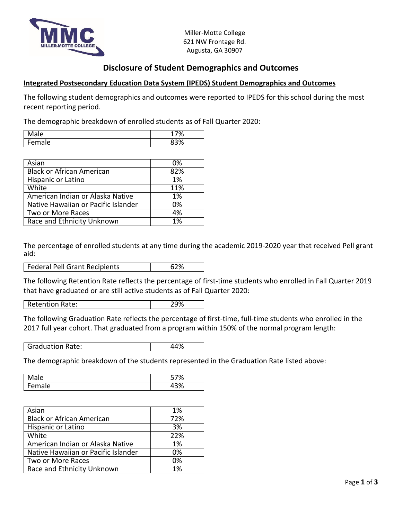

Miller-Motte College 621 NW Frontage Rd. Augusta, GA 30907

## **Disclosure of Student Demographics and Outcomes**

## **Integrated Postsecondary Education Data System (IPEDS) Student Demographics and Outcomes**

The following student demographics and outcomes were reported to IPEDS for this school during the most recent reporting period.

The demographic breakdown of enrolled students as of Fall Quarter 2020:

| ale | u,<br>7.<br>70 |
|-----|----------------|
| ale | $\sim$<br>v    |

| Asian                               | 0%  |
|-------------------------------------|-----|
| <b>Black or African American</b>    | 82% |
| Hispanic or Latino                  | 1%  |
| White                               | 11% |
| American Indian or Alaska Native    | 1%  |
| Native Hawaiian or Pacific Islander | 0%  |
| Two or More Races                   | 4%  |
| Race and Ethnicity Unknown          | 1%  |

The percentage of enrolled students at any time during the academic 2019-2020 year that received Pell grant aid:

| Federal Pell Grant Recipients |  |
|-------------------------------|--|
|-------------------------------|--|

The following Retention Rate reflects the percentage of first-time students who enrolled in Fall Quarter 2019 that have graduated or are still active students as of Fall Quarter 2020:

Retention Rate: 29%

The following Graduation Rate reflects the percentage of first-time, full-time students who enrolled in the 2017 full year cohort. That graduated from a program within 150% of the normal program length:

Graduation Rate:  $\vert$  44%

The demographic breakdown of the students represented in the Graduation Rate listed above:

| ale                            | 7٥               |
|--------------------------------|------------------|
| IΑ<br>∽<br>-<br>. ا ا آب<br>uı | $^{\circ}$<br>70 |

| Asian                               | 1%  |
|-------------------------------------|-----|
| <b>Black or African American</b>    | 72% |
| Hispanic or Latino                  | 3%  |
| White                               | 22% |
| American Indian or Alaska Native    | 1%  |
| Native Hawaiian or Pacific Islander | 0%  |
| Two or More Races                   | 0%  |
| Race and Ethnicity Unknown          | 1%  |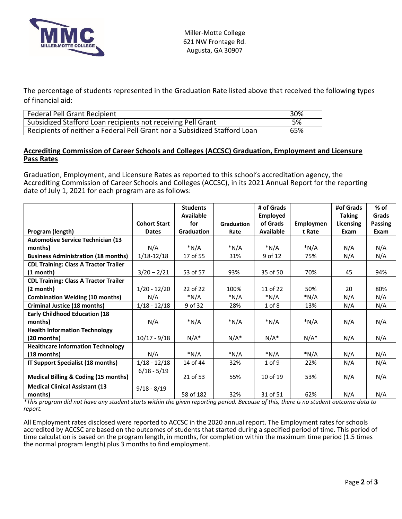

The percentage of students represented in the Graduation Rate listed above that received the following types of financial aid:

| <b>Federal Pell Grant Recipient</b>                                       | 30% |
|---------------------------------------------------------------------------|-----|
| Subsidized Stafford Loan recipients not receiving Pell Grant              | 5%  |
| Recipients of neither a Federal Pell Grant nor a Subsidized Stafford Loan | 65% |

## **Accrediting Commission of Career Schools and Colleges (ACCSC) Graduation, Employment and Licensure Pass Rates**

Graduation, Employment, and Licensure Rates as reported to this school's accreditation agency, the Accrediting Commission of Career Schools and Colleges (ACCSC), in its 2021 Annual Report for the reporting date of July 1, 2021 for each program are as follows:

|                                                  |                     | <b>Students</b>   |            | # of Grads       |           | #of Grads     | $%$ of         |
|--------------------------------------------------|---------------------|-------------------|------------|------------------|-----------|---------------|----------------|
|                                                  |                     | Available         |            | <b>Employed</b>  |           | <b>Taking</b> | Grads          |
|                                                  | <b>Cohort Start</b> | for               | Graduation | of Grads         | Employmen | Licensing     | <b>Passing</b> |
| Program (length)                                 | <b>Dates</b>        | <b>Graduation</b> | Rate       | <b>Available</b> | t Rate    | Exam          | Exam           |
| <b>Automotive Service Technician (13)</b>        |                     |                   |            |                  |           |               |                |
| months)                                          | N/A                 | $*N/A$            | $*N/A$     | *N/A             | $*N/A$    | N/A           | N/A            |
| <b>Business Administration (18 months)</b>       | $1/18 - 12/18$      | 17 of 55          | 31%        | 9 of 12          | 75%       | N/A           | N/A            |
| <b>CDL Training: Class A Tractor Trailer</b>     |                     |                   |            |                  |           |               |                |
| $(1 \text{ month})$                              | $3/20 - 2/21$       | 53 of 57          | 93%        | 35 of 50         | 70%       | 45            | 94%            |
| <b>CDL Training: Class A Tractor Trailer</b>     |                     |                   |            |                  |           |               |                |
| $(2 \text{ month})$                              | $1/20 - 12/20$      | 22 of 22          | 100%       | 11 of 22         | 50%       | 20            | 80%            |
| <b>Combination Welding (10 months)</b>           | N/A                 | $*N/A$            | $*N/A$     | *N/A             | $*N/A$    | N/A           | N/A            |
| <b>Criminal Justice (18 months)</b>              | $1/18 - 12/18$      | 9 of 32           | 28%        | $1$ of $8$       | 13%       | N/A           | N/A            |
| <b>Early Childhood Education (18</b>             |                     |                   |            |                  |           |               |                |
| months)                                          | N/A                 | $*N/A$            | $*N/A$     | $*N/A$           | $*N/A$    | N/A           | N/A            |
| <b>Health Information Technology</b>             |                     |                   |            |                  |           |               |                |
| $(20$ months)                                    | $10/17 - 9/18$      | $N/A^*$           | $N/A^*$    | $N/A^*$          | $N/A^*$   | N/A           | N/A            |
| <b>Healthcare Information Technology</b>         |                     |                   |            |                  |           |               |                |
| $(18$ months)                                    | N/A                 | $*N/A$            | $*N/A$     | $*N/A$           | $*N/A$    | N/A           | N/A            |
| IT Support Specialist (18 months)                | $1/18 - 12/18$      | 14 of 44          | 32%        | $1$ of 9         | 22%       | N/A           | N/A            |
| <b>Medical Billing &amp; Coding (15 months)</b>  | $6/18 - 5/19$       | 21 of 53          | 55%        | 10 of 19         | 53%       | N/A           | N/A            |
| <b>Medical Clinical Assistant (13</b><br>months) | $9/18 - 8/19$       | 58 of 182         | 32%        | 31 of 51         | 62%       | N/A           | N/A            |

*\*This program did not have any student starts within the given reporting period. Because of this, there is no student outcome data to report.*

All Employment rates disclosed were reported to ACCSC in the 2020 annual report. The Employment rates for schools accredited by ACCSC are based on the outcomes of students that started during a specified period of time. This period of time calculation is based on the program length, in months, for completion within the maximum time period (1.5 times the normal program length) plus 3 months to find employment.